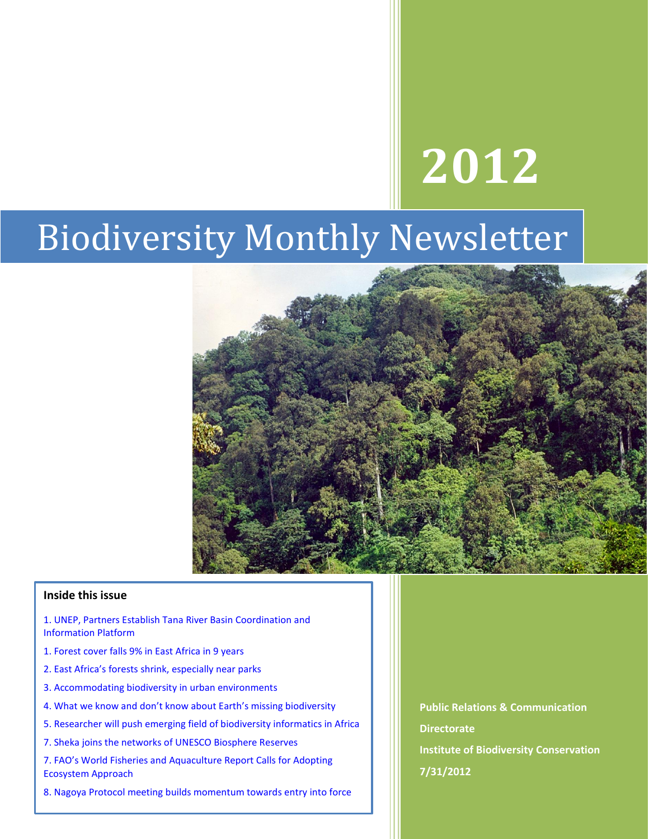# **2012**

# Biodiversity Monthly Newsletter



#### **Inside this issue**

- 1. UNEP, Partners Establish Tana River Basin Coordination and Information Platform
- 1. Forest cover falls 9% in East Africa in 9 years
- 2. East Africa's forests shrink, especially near parks
- 3. Accommodating biodiversity in urban environments
- 4. What we know and don't know about Earth's missing biodiversity
- 5. Researcher will push emerging field of biodiversity informatics in Africa
- 7. Sheka joins the networks of UNESCO Biosphere Reserves
- 7. FAO's World Fisheries and Aquaculture Report Calls for Adopting Ecosystem Approach
- 8. Nagoya Protocol meeting builds momentum towards entry into force

**Public Relations & Communication Directorate Institute of Biodiversity Conservation 7/31/2012**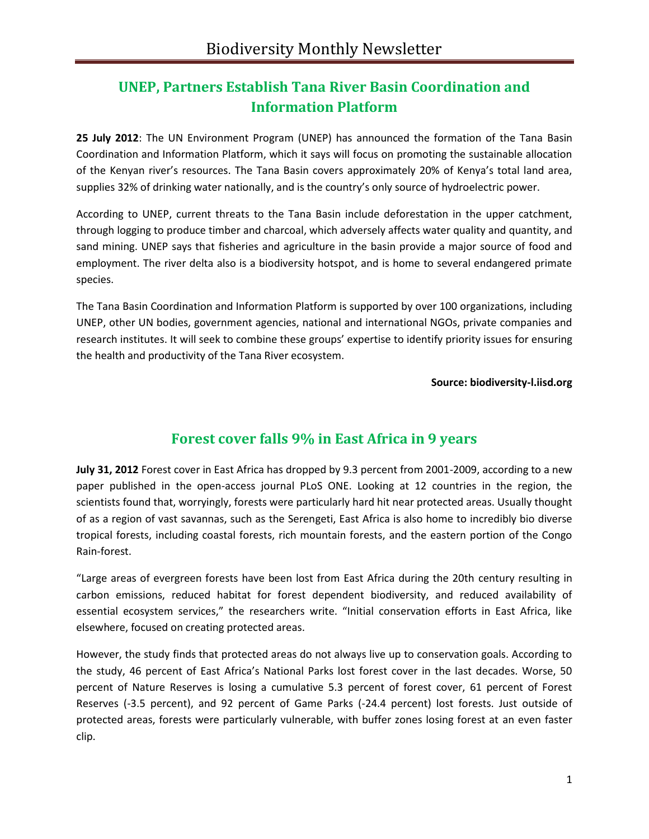# **UNEP, Partners Establish Tana River Basin Coordination and Information Platform**

**25 July 2012**: The UN Environment Program (UNEP) has announced the formation of the Tana Basin Coordination and Information Platform, which it says will focus on promoting the sustainable allocation of the Kenyan river's resources. The Tana Basin covers approximately 20% of Kenya's total land area, supplies 32% of drinking water nationally, and is the country's only source of hydroelectric power.

According to UNEP, current threats to the Tana Basin include deforestation in the upper catchment, through logging to produce timber and charcoal, which adversely affects water quality and quantity, and sand mining. UNEP says that fisheries and agriculture in the basin provide a major source of food and employment. The river delta also is a biodiversity hotspot, and is home to several endangered primate species.

The Tana Basin Coordination and Information Platform is supported by over 100 organizations, including UNEP, other UN bodies, government agencies, national and international NGOs, private companies and research institutes. It will seek to combine these groups' expertise to identify priority issues for ensuring the health and productivity of the Tana River ecosystem.

**Source: biodiversity-l.iisd.org**

# **Forest cover falls 9% in East Africa in 9 years**

**July 31, 2012** Forest cover in East Africa has dropped by 9.3 percent from 2001-2009, according to a new paper published in the open-access journal PLoS ONE. Looking at 12 countries in the region, the scientists found that, worryingly, forests were particularly hard hit near protected areas. Usually thought of as a region of vast savannas, such as the Serengeti, East Africa is also home to incredibly bio diverse tropical forests, including coastal forests, rich mountain forests, and the eastern portion of the Congo Rain-forest.

"Large areas of evergreen forests have been lost from East Africa during the 20th century resulting in carbon emissions, reduced habitat for forest dependent biodiversity, and reduced availability of essential ecosystem services," the researchers write. "Initial conservation efforts in East Africa, like elsewhere, focused on creating protected areas.

However, the study finds that protected areas do not always live up to conservation goals. According to the study, 46 percent of East Africa's National Parks lost forest cover in the last decades. Worse, 50 percent of Nature Reserves is losing a cumulative 5.3 percent of forest cover, 61 percent of Forest Reserves (-3.5 percent), and 92 percent of Game Parks (-24.4 percent) lost forests. Just outside of protected areas, forests were particularly vulnerable, with buffer zones losing forest at an even faster clip.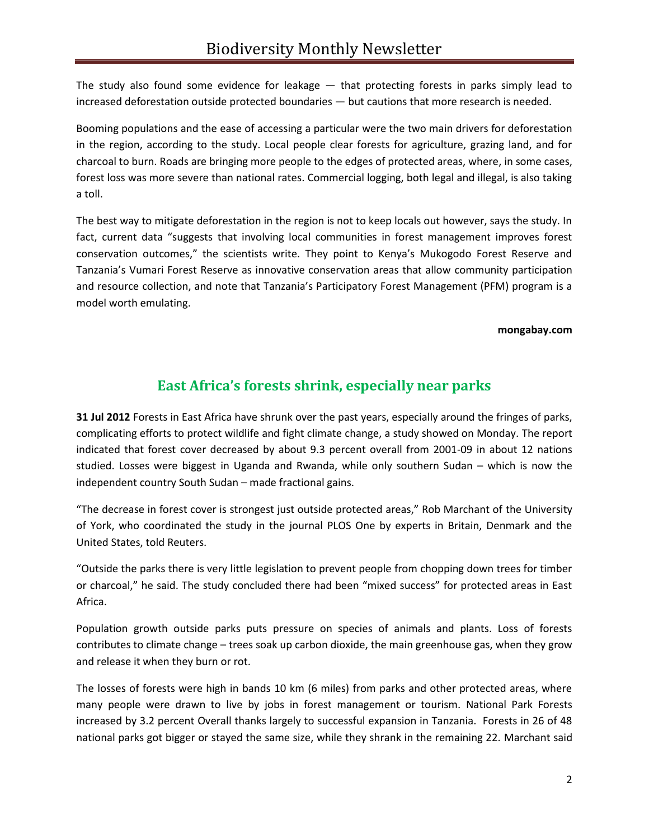The study also found some evidence for leakage — that protecting forests in parks simply lead to increased deforestation outside protected boundaries — but cautions that more research is needed.

Booming populations and the ease of accessing a particular were the two main drivers for deforestation in the region, according to the study. Local people clear forests for agriculture, grazing land, and for charcoal to burn. Roads are bringing more people to the edges of protected areas, where, in some cases, forest loss was more severe than national rates. Commercial logging, both legal and illegal, is also taking a toll.

The best way to mitigate deforestation in the region is not to keep locals out however, says the study. In fact, current data "suggests that involving local communities in forest management improves forest conservation outcomes," the scientists write. They point to Kenya's Mukogodo Forest Reserve and Tanzania's Vumari Forest Reserve as innovative conservation areas that allow community participation and resource collection, and note that Tanzania's Participatory Forest Management (PFM) program is a model worth emulating.

#### **mongabay.com**

#### **East Africa's forests shrink, especially near parks**

**31 Jul 2012** Forests in East Africa have shrunk over the past years, especially around the fringes of parks, complicating efforts to protect wildlife and fight climate change, a study showed on Monday. The report indicated that forest cover decreased by about 9.3 percent overall from 2001-09 in about 12 nations studied. Losses were biggest in Uganda and Rwanda, while only southern Sudan – which is now the independent country South Sudan – made fractional gains.

"The decrease in forest cover is strongest just outside protected areas," Rob Marchant of the University of York, who coordinated the study in the journal PLOS One by experts in Britain, Denmark and the United States, told Reuters.

"Outside the parks there is very little legislation to prevent people from chopping down trees for timber or charcoal," he said. The study concluded there had been "mixed success" for protected areas in East Africa.

Population growth outside parks puts pressure on species of animals and plants. Loss of forests contributes to climate change – trees soak up carbon dioxide, the main greenhouse gas, when they grow and release it when they burn or rot.

The losses of forests were high in bands 10 km (6 miles) from parks and other protected areas, where many people were drawn to live by jobs in forest management or tourism. National Park Forests increased by 3.2 percent Overall thanks largely to successful expansion in Tanzania. Forests in 26 of 48 national parks got bigger or stayed the same size, while they shrank in the remaining 22. Marchant said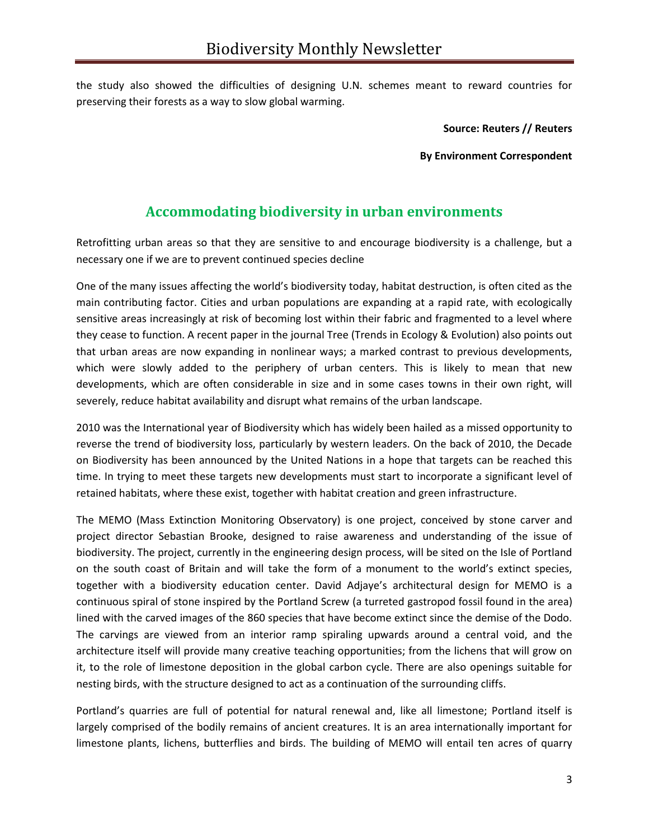the study also showed the difficulties of designing U.N. schemes meant to reward countries for preserving their forests as a way to slow global warming.

**Source: Reuters // Reuters**

**By Environment Correspondent**

### **Accommodating biodiversity in urban environments**

Retrofitting urban areas so that they are sensitive to and encourage biodiversity is a challenge, but a necessary one if we are to prevent continued species decline

One of the many issues affecting the world's biodiversity today, habitat destruction, is often cited as the main contributing factor. Cities and urban populations are expanding at a rapid rate, with ecologically sensitive areas increasingly at risk of becoming lost within their fabric and fragmented to a level where they cease to function. A recent paper in the journal Tree (Trends in Ecology & Evolution) also points out that urban areas are now expanding in nonlinear ways; a marked contrast to previous developments, which were slowly added to the periphery of urban centers. This is likely to mean that new developments, which are often considerable in size and in some cases towns in their own right, will severely, reduce habitat availability and disrupt what remains of the urban landscape.

2010 was the International year of Biodiversity which has widely been hailed as a missed opportunity to reverse the trend of biodiversity loss, particularly by western leaders. On the back of 2010, the Decade on Biodiversity has been announced by the United Nations in a hope that targets can be reached this time. In trying to meet these targets new developments must start to incorporate a significant level of retained habitats, where these exist, together with habitat creation and green infrastructure.

The MEMO (Mass Extinction Monitoring Observatory) is one project, conceived by stone carver and project director Sebastian Brooke, designed to raise awareness and understanding of the issue of biodiversity. The project, currently in the engineering design process, will be sited on the Isle of Portland on the south coast of Britain and will take the form of a monument to the world's extinct species, together with a biodiversity education center. David Adjaye's architectural design for MEMO is a continuous spiral of stone inspired by the Portland Screw (a turreted gastropod fossil found in the area) lined with the carved images of the 860 species that have become extinct since the demise of the Dodo. The carvings are viewed from an interior ramp spiraling upwards around a central void, and the architecture itself will provide many creative teaching opportunities; from the lichens that will grow on it, to the role of limestone deposition in the global carbon cycle. There are also openings suitable for nesting birds, with the structure designed to act as a continuation of the surrounding cliffs.

Portland's quarries are full of potential for natural renewal and, like all limestone; Portland itself is largely comprised of the bodily remains of ancient creatures. It is an area internationally important for limestone plants, lichens, butterflies and birds. The building of MEMO will entail ten acres of quarry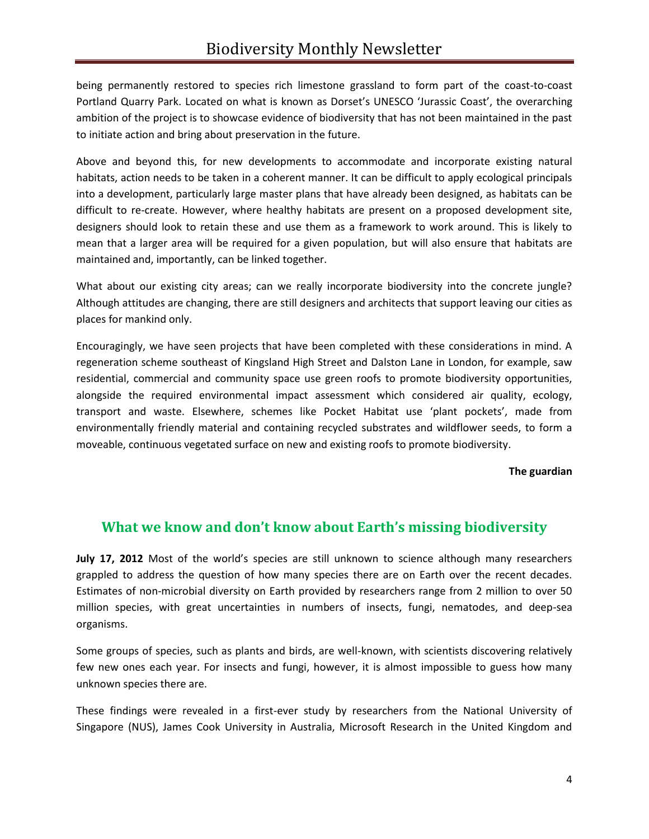being permanently restored to species rich limestone grassland to form part of the coast-to-coast Portland Quarry Park. Located on what is known as Dorset's UNESCO 'Jurassic Coast', the overarching ambition of the project is to showcase evidence of biodiversity that has not been maintained in the past to initiate action and bring about preservation in the future.

Above and beyond this, for new developments to accommodate and incorporate existing natural habitats, action needs to be taken in a coherent manner. It can be difficult to apply ecological principals into a development, particularly large master plans that have already been designed, as habitats can be difficult to re-create. However, where healthy habitats are present on a proposed development site, designers should look to retain these and use them as a framework to work around. This is likely to mean that a larger area will be required for a given population, but will also ensure that habitats are maintained and, importantly, can be linked together.

What about our existing city areas; can we really incorporate biodiversity into the concrete jungle? Although attitudes are changing, there are still designers and architects that support leaving our cities as places for mankind only.

Encouragingly, we have seen projects that have been completed with these considerations in mind. A regeneration scheme southeast of Kingsland High Street and Dalston Lane in London, for example, saw residential, commercial and community space use green roofs to promote biodiversity opportunities, alongside the required environmental impact assessment which considered air quality, ecology, transport and waste. Elsewhere, schemes like Pocket Habitat use 'plant pockets', made from environmentally friendly material and containing recycled substrates and wildflower seeds, to form a moveable, continuous vegetated surface on new and existing roofs to promote biodiversity.

#### **The guardian**

#### **What we know and don't know about Earth's missing biodiversity**

**July 17, 2012** Most of the world's species are still unknown to science although many researchers grappled to address the question of how many species there are on Earth over the recent decades. Estimates of non-microbial diversity on Earth provided by researchers range from 2 million to over 50 million species, with great uncertainties in numbers of insects, fungi, nematodes, and deep-sea organisms.

Some groups of species, such as plants and birds, are well-known, with scientists discovering relatively few new ones each year. For insects and fungi, however, it is almost impossible to guess how many unknown species there are.

These findings were revealed in a first-ever study by researchers from the National University of Singapore (NUS), James Cook University in Australia, Microsoft Research in the United Kingdom and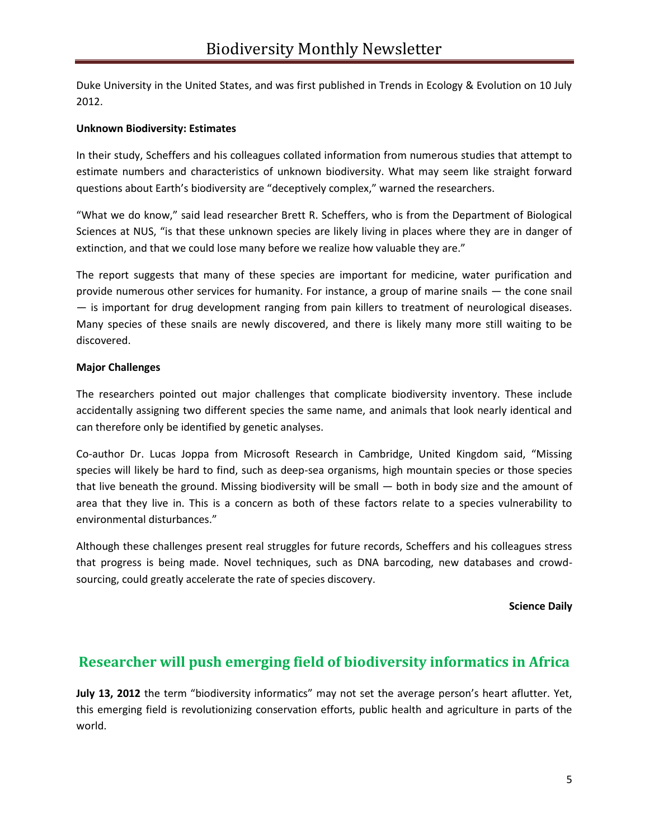Duke University in the United States, and was first published in Trends in Ecology & Evolution on 10 July 2012.

#### **Unknown Biodiversity: Estimates**

In their study, Scheffers and his colleagues collated information from numerous studies that attempt to estimate numbers and characteristics of unknown biodiversity. What may seem like straight forward questions about Earth's biodiversity are "deceptively complex," warned the researchers.

"What we do know," said lead researcher Brett R. Scheffers, who is from the Department of Biological Sciences at NUS, "is that these unknown species are likely living in places where they are in danger of extinction, and that we could lose many before we realize how valuable they are."

The report suggests that many of these species are important for medicine, water purification and provide numerous other services for humanity. For instance, a group of marine snails — the cone snail — is important for drug development ranging from pain killers to treatment of neurological diseases. Many species of these snails are newly discovered, and there is likely many more still waiting to be discovered.

#### **Major Challenges**

The researchers pointed out major challenges that complicate biodiversity inventory. These include accidentally assigning two different species the same name, and animals that look nearly identical and can therefore only be identified by genetic analyses.

Co-author Dr. Lucas Joppa from Microsoft Research in Cambridge, United Kingdom said, "Missing species will likely be hard to find, such as deep-sea organisms, high mountain species or those species that live beneath the ground. Missing biodiversity will be small — both in body size and the amount of area that they live in. This is a concern as both of these factors relate to a species vulnerability to environmental disturbances."

Although these challenges present real struggles for future records, Scheffers and his colleagues stress that progress is being made. Novel techniques, such as DNA barcoding, new databases and crowdsourcing, could greatly accelerate the rate of species discovery.

#### **Science Daily**

# **Researcher will push emerging field of biodiversity informatics in Africa**

**July 13, 2012** the term "biodiversity informatics" may not set the average person's heart aflutter. Yet, this emerging field is revolutionizing conservation efforts, public health and agriculture in parts of the world.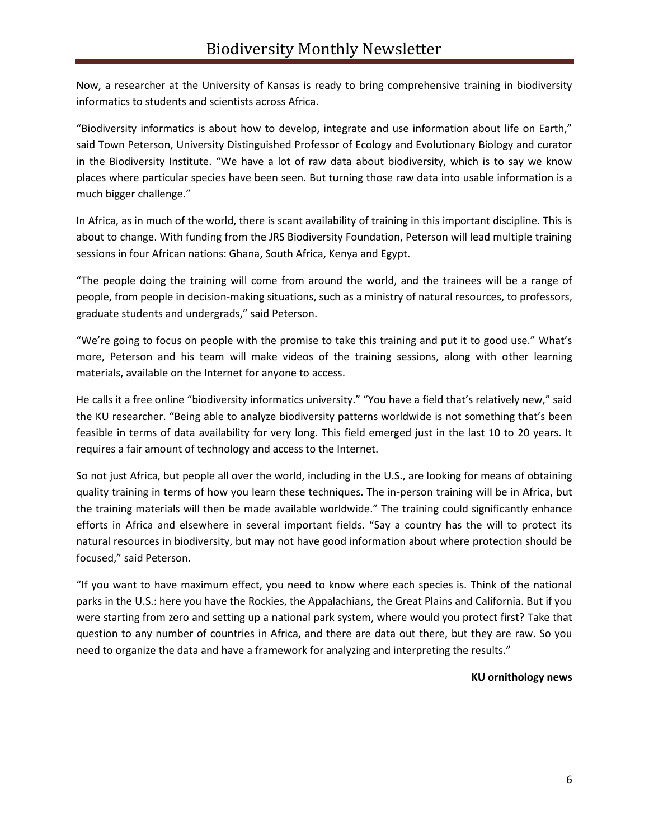Now, a researcher at the University of Kansas is ready to bring comprehensive training in biodiversity informatics to students and scientists across Africa.

"Biodiversity informatics is about how to develop, integrate and use information about life on Earth," said Town Peterson, University Distinguished Professor of Ecology and Evolutionary Biology and curator in the Biodiversity Institute. "We have a lot of raw data about biodiversity, which is to say we know places where particular species have been seen. But turning those raw data into usable information is a much bigger challenge."

In Africa, as in much of the world, there is scant availability of training in this important discipline. This is about to change. With funding from the JRS Biodiversity Foundation, Peterson will lead multiple training sessions in four African nations: Ghana, South Africa, Kenya and Egypt.

"The people doing the training will come from around the world, and the trainees will be a range of people, from people in decision-making situations, such as a ministry of natural resources, to professors, graduate students and undergrads," said Peterson.

"We're going to focus on people with the promise to take this training and put it to good use." What's more, Peterson and his team will make videos of the training sessions, along with other learning materials, available on the Internet for anyone to access.

He calls it a free online "biodiversity informatics university." "You have a field that's relatively new," said the KU researcher. "Being able to analyze biodiversity patterns worldwide is not something that's been feasible in terms of data availability for very long. This field emerged just in the last 10 to 20 years. It requires a fair amount of technology and access to the Internet.

So not just Africa, but people all over the world, including in the U.S., are looking for means of obtaining quality training in terms of how you learn these techniques. The in-person training will be in Africa, but the training materials will then be made available worldwide." The training could significantly enhance efforts in Africa and elsewhere in several important fields. "Say a country has the will to protect its natural resources in biodiversity, but may not have good information about where protection should be focused," said Peterson.

"If you want to have maximum effect, you need to know where each species is. Think of the national parks in the U.S.: here you have the Rockies, the Appalachians, the Great Plains and California. But if you were starting from zero and setting up a national park system, where would you protect first? Take that question to any number of countries in Africa, and there are data out there, but they are raw. So you need to organize the data and have a framework for analyzing and interpreting the results."

#### **KU ornithology news**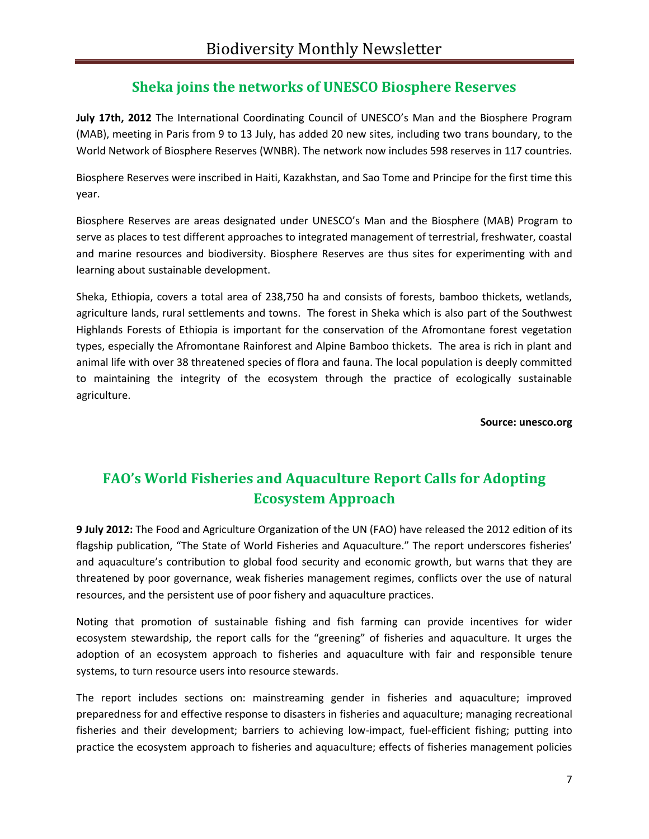# **Sheka joins the networks of UNESCO Biosphere Reserves**

**July 17th, 2012** The International Coordinating Council of UNESCO's Man and the Biosphere Program (MAB), meeting in Paris from 9 to 13 July, has added 20 new sites, including two trans boundary, to the World Network of Biosphere Reserves (WNBR). The network now includes 598 reserves in 117 countries.

Biosphere Reserves were inscribed in Haiti, Kazakhstan, and Sao Tome and Principe for the first time this year.

Biosphere Reserves are areas designated under UNESCO's Man and the Biosphere (MAB) Program to serve as places to test different approaches to integrated management of terrestrial, freshwater, coastal and marine resources and biodiversity. Biosphere Reserves are thus sites for experimenting with and learning about sustainable development.

Sheka, Ethiopia, covers a total area of 238,750 ha and consists of forests, bamboo thickets, wetlands, agriculture lands, rural settlements and towns. The forest in Sheka which is also part of the Southwest Highlands Forests of Ethiopia is important for the conservation of the Afromontane forest vegetation types, especially the Afromontane Rainforest and Alpine Bamboo thickets. The area is rich in plant and animal life with over 38 threatened species of flora and fauna. The local population is deeply committed to maintaining the integrity of the ecosystem through the practice of ecologically sustainable agriculture.

**Source: unesco.org**

# **FAO's World Fisheries and Aquaculture Report Calls for Adopting Ecosystem Approach**

**9 July 2012:** The Food and Agriculture Organization of the UN (FAO) have released the 2012 edition of its flagship publication, "The State of World Fisheries and Aquaculture." The report underscores fisheries' and aquaculture's contribution to global food security and economic growth, but warns that they are threatened by poor governance, weak fisheries management regimes, conflicts over the use of natural resources, and the persistent use of poor fishery and aquaculture practices.

Noting that promotion of sustainable fishing and fish farming can provide incentives for wider ecosystem stewardship, the report calls for the "greening" of fisheries and aquaculture. It urges the adoption of an ecosystem approach to fisheries and aquaculture with fair and responsible tenure systems, to turn resource users into resource stewards.

The report includes sections on: mainstreaming gender in fisheries and aquaculture; improved preparedness for and effective response to disasters in fisheries and aquaculture; managing recreational fisheries and their development; barriers to achieving low-impact, fuel-efficient fishing; putting into practice the ecosystem approach to fisheries and aquaculture; effects of fisheries management policies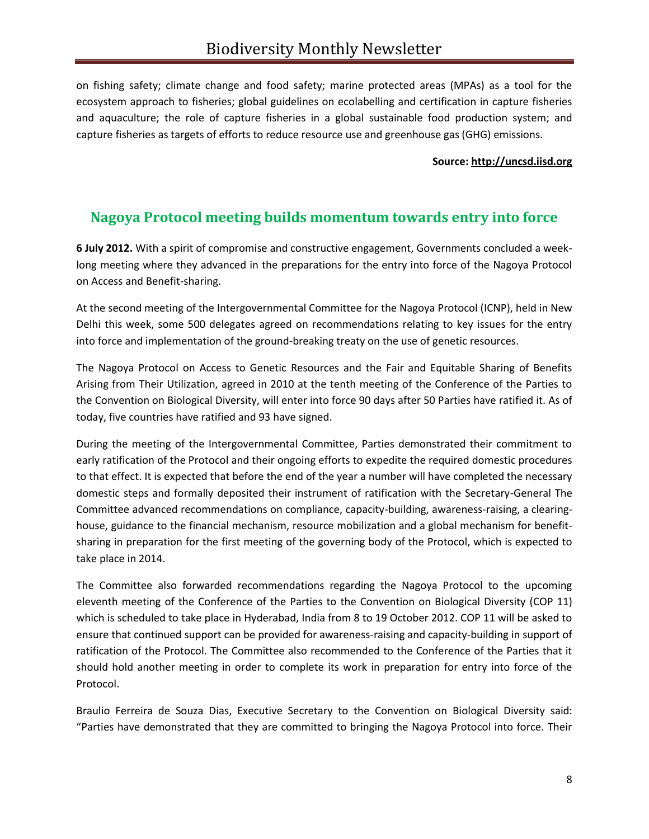on fishing safety; climate change and food safety; marine protected areas (MPAs) as a tool for the ecosystem approach to fisheries; global guidelines on ecolabelling and certification in capture fisheries and aquaculture; the role of capture fisheries in a global sustainable food production system; and capture fisheries as targets of efforts to reduce resource use and greenhouse gas (GHG) emissions.

**Source: [http://uncsd.iisd.org](http://uncsd.iisd.org/)**

# **Nagoya Protocol meeting builds momentum towards entry into force**

**6 July 2012.** With a spirit of compromise and constructive engagement, Governments concluded a weeklong meeting where they advanced in the preparations for the entry into force of the Nagoya Protocol on Access and Benefit-sharing.

At the second meeting of the Intergovernmental Committee for the Nagoya Protocol (ICNP), held in New Delhi this week, some 500 delegates agreed on recommendations relating to key issues for the entry into force and implementation of the ground-breaking treaty on the use of genetic resources.

The Nagoya Protocol on Access to Genetic Resources and the Fair and Equitable Sharing of Benefits Arising from Their Utilization, agreed in 2010 at the tenth meeting of the Conference of the Parties to the Convention on Biological Diversity, will enter into force 90 days after 50 Parties have ratified it. As of today, five countries have ratified and 93 have signed.

During the meeting of the Intergovernmental Committee, Parties demonstrated their commitment to early ratification of the Protocol and their ongoing efforts to expedite the required domestic procedures to that effect. It is expected that before the end of the year a number will have completed the necessary domestic steps and formally deposited their instrument of ratification with the Secretary-General The Committee advanced recommendations on compliance, capacity-building, awareness-raising, a clearinghouse, guidance to the financial mechanism, resource mobilization and a global mechanism for benefitsharing in preparation for the first meeting of the governing body of the Protocol, which is expected to take place in 2014.

The Committee also forwarded recommendations regarding the Nagoya Protocol to the upcoming eleventh meeting of the Conference of the Parties to the Convention on Biological Diversity (COP 11) which is scheduled to take place in Hyderabad, India from 8 to 19 October 2012. COP 11 will be asked to ensure that continued support can be provided for awareness-raising and capacity-building in support of ratification of the Protocol. The Committee also recommended to the Conference of the Parties that it should hold another meeting in order to complete its work in preparation for entry into force of the Protocol.

Braulio Ferreira de Souza Dias, Executive Secretary to the Convention on Biological Diversity said: "Parties have demonstrated that they are committed to bringing the Nagoya Protocol into force. Their